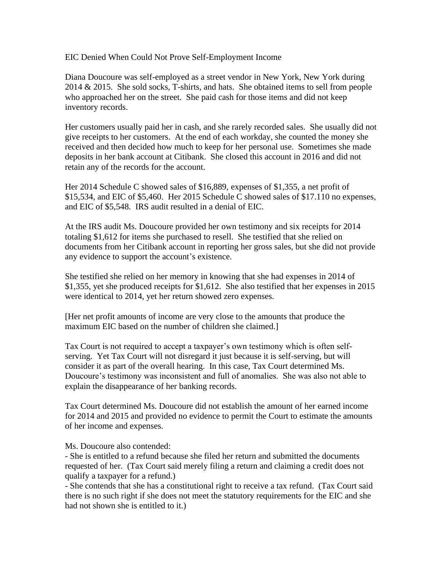EIC Denied When Could Not Prove Self-Employment Income

Diana Doucoure was self-employed as a street vendor in New York, New York during 2014 & 2015. She sold socks, T-shirts, and hats. She obtained items to sell from people who approached her on the street. She paid cash for those items and did not keep inventory records.

Her customers usually paid her in cash, and she rarely recorded sales. She usually did not give receipts to her customers. At the end of each workday, she counted the money she received and then decided how much to keep for her personal use. Sometimes she made deposits in her bank account at Citibank. She closed this account in 2016 and did not retain any of the records for the account.

Her 2014 Schedule C showed sales of \$16,889, expenses of \$1,355, a net profit of \$15,534, and EIC of \$5,460. Her 2015 Schedule C showed sales of \$17.110 no expenses, and EIC of \$5,548. IRS audit resulted in a denial of EIC.

At the IRS audit Ms. Doucoure provided her own testimony and six receipts for 2014 totaling \$1,612 for items she purchased to resell. She testified that she relied on documents from her Citibank account in reporting her gross sales, but she did not provide any evidence to support the account's existence.

She testified she relied on her memory in knowing that she had expenses in 2014 of \$1,355, yet she produced receipts for \$1,612. She also testified that her expenses in 2015 were identical to 2014, yet her return showed zero expenses.

[Her net profit amounts of income are very close to the amounts that produce the maximum EIC based on the number of children she claimed.]

Tax Court is not required to accept a taxpayer's own testimony which is often selfserving. Yet Tax Court will not disregard it just because it is self-serving, but will consider it as part of the overall hearing. In this case, Tax Court determined Ms. Doucoure's testimony was inconsistent and full of anomalies. She was also not able to explain the disappearance of her banking records.

Tax Court determined Ms. Doucoure did not establish the amount of her earned income for 2014 and 2015 and provided no evidence to permit the Court to estimate the amounts of her income and expenses.

Ms. Doucoure also contended:

- She is entitled to a refund because she filed her return and submitted the documents requested of her. (Tax Court said merely filing a return and claiming a credit does not qualify a taxpayer for a refund.)

- She contends that she has a constitutional right to receive a tax refund. (Tax Court said there is no such right if she does not meet the statutory requirements for the EIC and she had not shown she is entitled to it.)